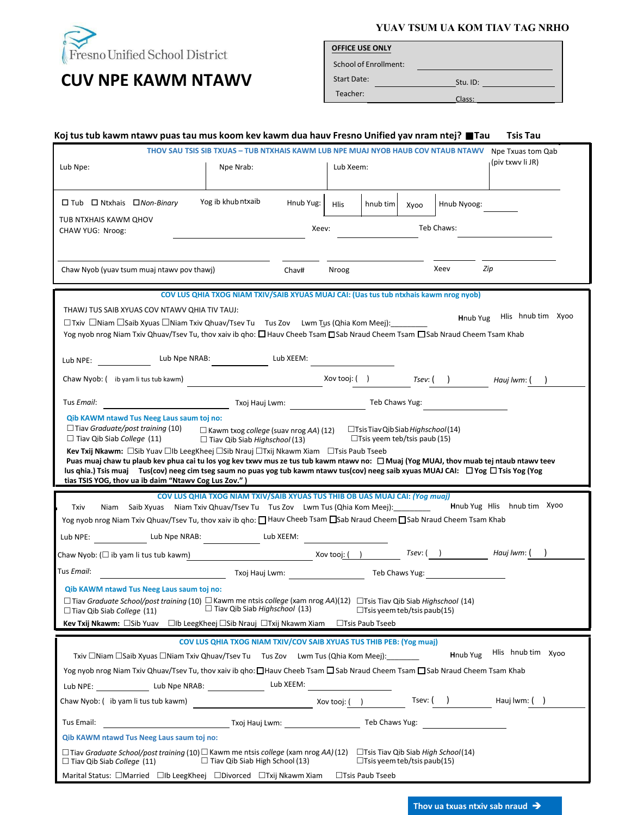

## **CUV NPE KAWM NTAWV**

**YUAV TSUM UA KOM TIAV TAG NRHO**

Stu. ID:

| <b>OFFICE USE ONLY</b> |  |  |
|------------------------|--|--|
|                        |  |  |

School of Enrollment: Start Date:

Teacher:<br>Class:

| Koj tus tub kawm ntawv puas tau mus koom kev kawm dua hauv Fresno Unified yav nram ntej? ■ Tau                                                                                                                                                                                                                                                                                                                                  |                                                                                                                                                                                                                                     |                               |                   |                                    |      |                  | <b>Tsis Tau</b>             |  |
|---------------------------------------------------------------------------------------------------------------------------------------------------------------------------------------------------------------------------------------------------------------------------------------------------------------------------------------------------------------------------------------------------------------------------------|-------------------------------------------------------------------------------------------------------------------------------------------------------------------------------------------------------------------------------------|-------------------------------|-------------------|------------------------------------|------|------------------|-----------------------------|--|
|                                                                                                                                                                                                                                                                                                                                                                                                                                 | THOV SAU TSIS SIB TXUAS - TUB NTXHAIS KAWM LUB NPE MUAJ NYOB HAUB COV NTAUB NTAWV Npe Txuas tom Qab                                                                                                                                 |                               |                   |                                    |      |                  | (piv txwy li JR)            |  |
| Lub Npe:                                                                                                                                                                                                                                                                                                                                                                                                                        | Npe Nrab:                                                                                                                                                                                                                           |                               | Lub Xeem:         |                                    |      |                  |                             |  |
| $\Box$ Tub $\Box$ Ntxhais $\Box$ Non-Binary                                                                                                                                                                                                                                                                                                                                                                                     | Yog ib khub ntxaib                                                                                                                                                                                                                  | Hnub Yug:                     | <b>Hlis</b>       | hnub tim                           | Xyoo | Hnub Nyoog:      |                             |  |
| TUB NTXHAIS KAWM QHOV<br>CHAW YUG: Nroog:                                                                                                                                                                                                                                                                                                                                                                                       |                                                                                                                                                                                                                                     | Xeev:                         |                   |                                    |      | Teb Chaws:       |                             |  |
|                                                                                                                                                                                                                                                                                                                                                                                                                                 |                                                                                                                                                                                                                                     |                               |                   |                                    |      |                  |                             |  |
| Chaw Nyob (yuav tsum muaj ntawy pov thawj)                                                                                                                                                                                                                                                                                                                                                                                      |                                                                                                                                                                                                                                     | Chav#                         | Nroog             |                                    |      | Xeev             | Zip                         |  |
|                                                                                                                                                                                                                                                                                                                                                                                                                                 | COV LUS QHIA TXOG NIAM TXIV/SAIB XYUAS MUAJ CAI: (Uas tus tub ntxhais kawm nrog nyob)                                                                                                                                               |                               |                   |                                    |      |                  |                             |  |
| THAWJ TUS SAIB XYUAS COV NTAWV QHIA TIV TAUJ:<br>$\Box$ Txiv $\Box$ Niam $\Box$ Saib Xyuas $\Box$ Niam Txiv Qhuav/Tsev Tu Tus Zov Lwm Tus (Qhia Kom Meej):<br>Yog nyob nrog Niam Txiv Qhuav/Tsev Tu, thov xaiv ib qho: □ Hauv Cheeb Tsam □ Sab Nraud Cheem Tsam □ Sab Nraud Cheem Tsam Khab                                                                                                                                     |                                                                                                                                                                                                                                     |                               |                   |                                    |      | Hnub Yug         | Hlis hnub tim Xyoo          |  |
| Lub NPE:                                                                                                                                                                                                                                                                                                                                                                                                                        | Lub Npe NRAB:                                                                                                                                                                                                                       | Lub XEEM:                     |                   |                                    |      |                  |                             |  |
| Chaw Nyob: (ib yam li tus tub kawm)                                                                                                                                                                                                                                                                                                                                                                                             |                                                                                                                                                                                                                                     |                               | Xov tooj: (     ) |                                    |      | $T$ sev: $($ $)$ | Haui Iwm: (                 |  |
| Tus Email:                                                                                                                                                                                                                                                                                                                                                                                                                      |                                                                                                                                                                                                                                     | Txoj Hauj Lwm:                |                   | Teb Chaws Yug:                     |      |                  |                             |  |
| Kev Txij Nkawm: □Sib Yuav □Ib LeegKheej □Sib Nrauj □Txij Nkawm Xiam □Tsis Paub Tseeb<br>Puas muaj chaw tu plaub kev phua cai tu los yog kev txwv mus ze tus tub kawm ntawv no: □ Muaj (Yog MUAJ, thov muab tej ntaub ntawv teev<br>lus qhia.) Tsis muaj Tus(cov) neeg cim tseg saum no puas yog tub kawm ntawv tus(cov) neeg saib xyuas MUAJ CAI: □ Yog □ Tsis Yog (Yog<br>tias TSIS YOG, thov ua ib daim "Ntawv Cog Lus Zov.") | COV LUS QHIA TXOG NIAM TXIV/SAIB XYUAS TUS THIB OB UAS MUAJ CAI: (Yog muaj)                                                                                                                                                         |                               |                   |                                    |      |                  |                             |  |
| Niam Saib Xyuas Niam Txiv Qhuav/Tsev Tu Tus Zov Lwm Tus (Qhia Kom Meej): ________<br>Txiv<br>Yog nyob nrog Niam Txiv Qhuav/Tsev Tu, thov xaiv ib qho: □ Hauv Cheeb Tsam □Sab Nraud Cheem □ Sab Nraud Cheem Tsam Khab                                                                                                                                                                                                            |                                                                                                                                                                                                                                     |                               |                   |                                    |      |                  | Hnub Yug Hlis hnub tim Xyoo |  |
| Lub Npe NRAB:<br>Lub NPE:                                                                                                                                                                                                                                                                                                                                                                                                       |                                                                                                                                                                                                                                     | Lub XEEM:                     |                   |                                    |      |                  |                             |  |
| Chaw Nyob: $(\Box$ ib yam li tus tub kawm) $\Box$ Xov tooj: $(\Box)$                                                                                                                                                                                                                                                                                                                                                            |                                                                                                                                                                                                                                     |                               |                   |                                    |      | $T$ sev: $($ $)$ | Hauj lwm: (                 |  |
| Tus <i>Email</i> :                                                                                                                                                                                                                                                                                                                                                                                                              |                                                                                                                                                                                                                                     | Txoj Hauj Lwm: Teb Chaws Yug: |                   |                                    |      |                  |                             |  |
| Qib KAWM ntawd Tus Neeg Laus saum toj no:                                                                                                                                                                                                                                                                                                                                                                                       |                                                                                                                                                                                                                                     |                               |                   |                                    |      |                  |                             |  |
| $\Box$ Tiav Graduate School/post training (10) $\Box$ Kawm me ntsis college (xam nrog AA)(12) $\Box$ Tsis Tiav Qib Siab Highschool (14)<br>$\Box$ Tiav Qib Siab College (11)                                                                                                                                                                                                                                                    | $\Box$ Tiav Qib Siab Highschool (13)                                                                                                                                                                                                |                               |                   | $\Box$ Tsis yeem teb/tsis paub(15) |      |                  |                             |  |
| Kev Txij Nkawm: □Sib Yuav □lb LeegKheej □Sib Nrauj □Txij Nkawm Xiam □Tsis Paub Tseeb                                                                                                                                                                                                                                                                                                                                            |                                                                                                                                                                                                                                     |                               |                   |                                    |      |                  |                             |  |
|                                                                                                                                                                                                                                                                                                                                                                                                                                 | COV LUS QHIA TXOG NIAM TXIV/COV SAIB XYUAS TUS THIB PEB: (Yog muaj)                                                                                                                                                                 |                               |                   |                                    |      |                  |                             |  |
| Txiv □Niam □Saib Xyuas □Niam Txiv Qhuav/Tsev Tu  Tus Zov  Lwm Tus (Qhia Kom Meej):                                                                                                                                                                                                                                                                                                                                              |                                                                                                                                                                                                                                     |                               |                   |                                    |      | Hnub Yug         | Hlis hnub tim Xyoo          |  |
| Yog nyob nrog Niam Txiv Qhuav/Tsev Tu, thov xaiv ib gho: □Hauv Cheeb Tsam □ Sab Nraud Cheem Tsam □ Sab Nraud Cheem Tsam Khab                                                                                                                                                                                                                                                                                                    |                                                                                                                                                                                                                                     |                               |                   |                                    |      |                  |                             |  |
| Lub NPE: Lub Npe NRAB: Lub XEEM:<br>Chaw Nyob: (ib yam li tus tub kawm)                                                                                                                                                                                                                                                                                                                                                         | <u>xov tooj: () and the set of</u> the set of the set of the set of the set of the set of the set of the set of the set of the set of the set of the set of the set of the set of the set of the set of the set of the set of the s |                               |                   |                                    |      |                  | Tsev: ( ) Hauj lwm: ( )     |  |
|                                                                                                                                                                                                                                                                                                                                                                                                                                 |                                                                                                                                                                                                                                     |                               |                   |                                    |      |                  |                             |  |
| Tus Email:<br>Qib KAWM ntawd Tus Neeg Laus saum toj no:                                                                                                                                                                                                                                                                                                                                                                         | Txoj Hauj Lwm: The Chaws Yug:                                                                                                                                                                                                       |                               |                   |                                    |      |                  |                             |  |
| $\Box$ Tiav <i>Graduate School/post training</i> (10) $\Box$ Kawm me ntsis <i>college</i> (xam nrog <i>AA)</i> (12) $\qed$ Tsis Tiav Qib Siab <i>High School</i> (14)                                                                                                                                                                                                                                                           | $\Box$ Tiav Qib Siab High School (13)                                                                                                                                                                                               |                               |                   | $\Box$ Tsis yeem teb/tsis paub(15) |      |                  |                             |  |
| $\Box$ Tiav Qib Siab College (11)<br>Marital Status: □Married □Ib LeegKheej □Divorced □Txij Nkawm Xiam                                                                                                                                                                                                                                                                                                                          |                                                                                                                                                                                                                                     |                               |                   | □Tsis Paub Tseeb                   |      |                  |                             |  |
|                                                                                                                                                                                                                                                                                                                                                                                                                                 |                                                                                                                                                                                                                                     |                               |                   |                                    |      |                  |                             |  |